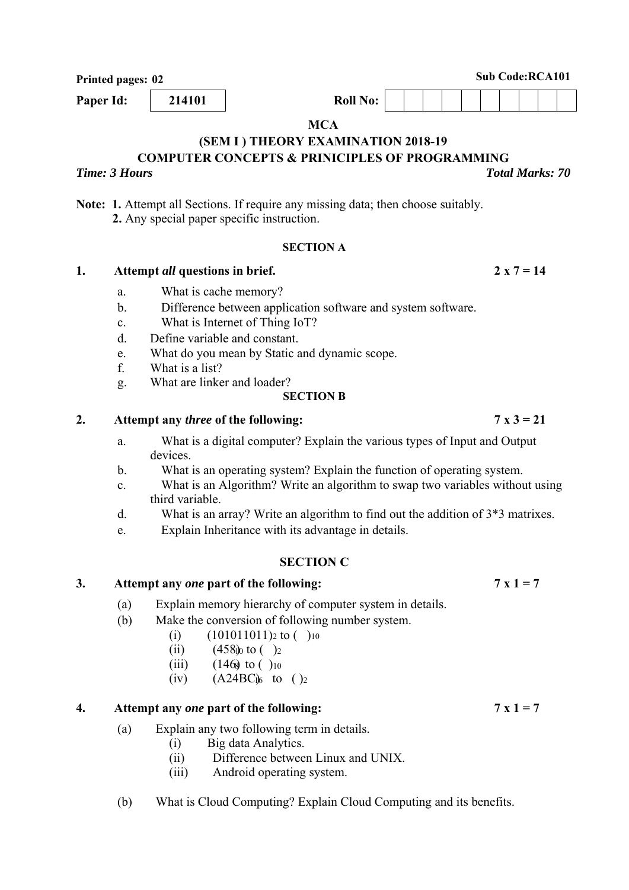**Printed pages: 02** Sub Code:RCA101

**MCA** 

# **(SEM I ) THEORY EXAMINATION 2018-19**

**COMPUTER CONCEPTS & PRINICIPLES OF PROGRAMMING** 

**Note: 1.** Attempt all Sections. If require any missing data; then choose suitably.  **2.** Any special paper specific instruction.

# **SECTION A**

# 1. Attempt *all* questions in brief. 2 x  $7 = 14$

- a. What is cache memory?
- b. Difference between application software and system software.
- c. What is Internet of Thing IoT?
- d. Define variable and constant.
- e. What do you mean by Static and dynamic scope.
- f. What is a list?
- g. What are linker and loader?

# **SECTION B**

# 2. Attempt any *three* of the following:  $7 \times 3 = 21$

- a. What is a digital computer? Explain the various types of Input and Output devices.
- b. What is an operating system? Explain the function of operating system.
- c. What is an Algorithm? Write an algorithm to swap two variables without using third variable.
- d. What is an array? Write an algorithm to find out the addition of 3\*3 matrixes.
- e. Explain Inheritance with its advantage in details.

# **SECTION C**

# 3. Attempt any *one* part of the following:  $7 \times 1 = 7$

- (a) Explain memory hierarchy of computer system in details.
- (b) Make the conversion of following number system.
	- (i)  $(101011011)_2$  to  $( )_{10}$
	- (ii)  $(458)$ <sub>0</sub> to  $\binom{2}{2}$
	- (iii)  $(146)$  to ( )<sub>10</sub>
	- (iv)  $(A24BC)$ <sub>6</sub> to  $()_2$

# **4. Attempt any** *one* **part of the following: 7 x 1 = 7**

- (a) Explain any two following term in details.
	- (i) Big data Analytics.
	- (ii) Difference between Linux and UNIX.
	- (iii) Android operating system.
- (b) What is Cloud Computing? Explain Cloud Computing and its benefits.

*Time: 3 Hours Total Marks: 70*

**Paper Id:** 214101